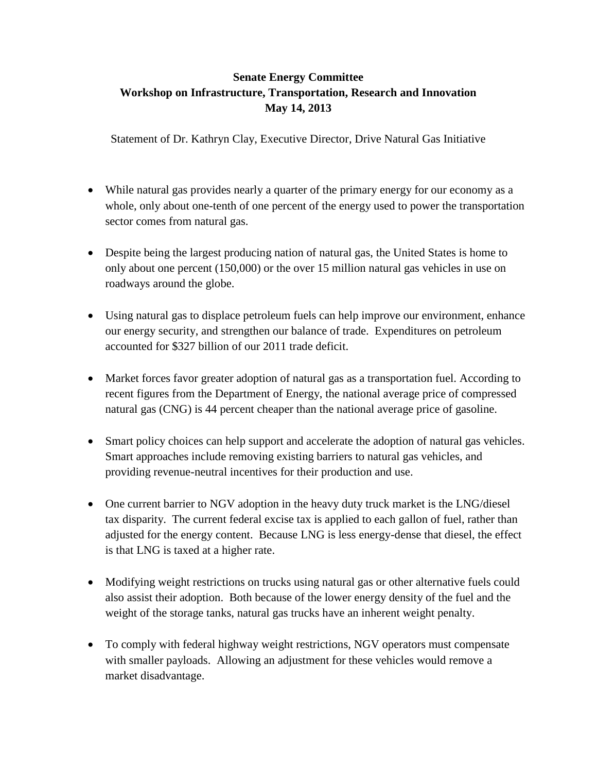## **Senate Energy Committee Workshop on Infrastructure, Transportation, Research and Innovation May 14, 2013**

Statement of Dr. Kathryn Clay, Executive Director, Drive Natural Gas Initiative

- While natural gas provides nearly a quarter of the primary energy for our economy as a whole, only about one-tenth of one percent of the energy used to power the transportation sector comes from natural gas.
- Despite being the largest producing nation of natural gas, the United States is home to only about one percent (150,000) or the over 15 million natural gas vehicles in use on roadways around the globe.
- Using natural gas to displace petroleum fuels can help improve our environment, enhance our energy security, and strengthen our balance of trade. Expenditures on petroleum accounted for \$327 billion of our 2011 trade deficit.
- Market forces favor greater adoption of natural gas as a transportation fuel. According to recent figures from the Department of Energy, the national average price of compressed natural gas (CNG) is 44 percent cheaper than the national average price of gasoline.
- Smart policy choices can help support and accelerate the adoption of natural gas vehicles. Smart approaches include removing existing barriers to natural gas vehicles, and providing revenue-neutral incentives for their production and use.
- One current barrier to NGV adoption in the heavy duty truck market is the LNG/diesel tax disparity. The current federal excise tax is applied to each gallon of fuel, rather than adjusted for the energy content. Because LNG is less energy-dense that diesel, the effect is that LNG is taxed at a higher rate.
- Modifying weight restrictions on trucks using natural gas or other alternative fuels could also assist their adoption. Both because of the lower energy density of the fuel and the weight of the storage tanks, natural gas trucks have an inherent weight penalty.
- To comply with federal highway weight restrictions, NGV operators must compensate with smaller payloads. Allowing an adjustment for these vehicles would remove a market disadvantage.